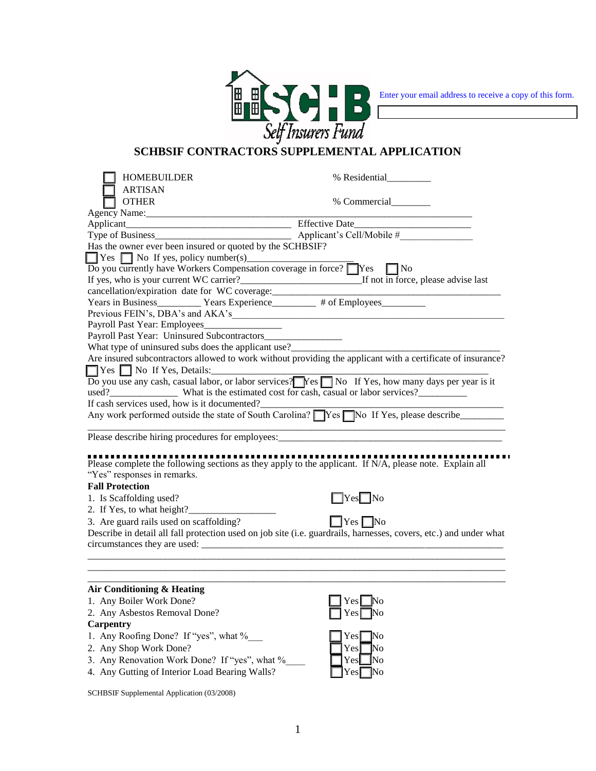

Enter your email address to receive a copy of this form.

## **SCHBSIF CONTRACTORS SUPPLEMENTAL APPLICATION**

| HOMEBUILDER                                                                                                                                                                                                                                   | % Residential                                                                                                                                                                                                                          |
|-----------------------------------------------------------------------------------------------------------------------------------------------------------------------------------------------------------------------------------------------|----------------------------------------------------------------------------------------------------------------------------------------------------------------------------------------------------------------------------------------|
| <b>ARTISAN</b>                                                                                                                                                                                                                                |                                                                                                                                                                                                                                        |
| <b>OTHER</b>                                                                                                                                                                                                                                  | % Commercial                                                                                                                                                                                                                           |
|                                                                                                                                                                                                                                               |                                                                                                                                                                                                                                        |
|                                                                                                                                                                                                                                               |                                                                                                                                                                                                                                        |
|                                                                                                                                                                                                                                               |                                                                                                                                                                                                                                        |
| Has the owner ever been insured or quoted by the SCHBSIF?                                                                                                                                                                                     |                                                                                                                                                                                                                                        |
|                                                                                                                                                                                                                                               |                                                                                                                                                                                                                                        |
| $\overline{Do}$ you currently have Workers Compensation coverage in force? $\Box$ Yes $\Box$ No                                                                                                                                               |                                                                                                                                                                                                                                        |
| If yes, who is your current WC carrier?<br>If not in force, please advise last                                                                                                                                                                |                                                                                                                                                                                                                                        |
| cancellation/expiration date for WC coverage: ___________________________________                                                                                                                                                             |                                                                                                                                                                                                                                        |
| Years in Business ____________ Years Experience __________ # of Employees ___________                                                                                                                                                         |                                                                                                                                                                                                                                        |
|                                                                                                                                                                                                                                               |                                                                                                                                                                                                                                        |
|                                                                                                                                                                                                                                               |                                                                                                                                                                                                                                        |
| Payroll Past Year: Uninsured Subcontractors                                                                                                                                                                                                   |                                                                                                                                                                                                                                        |
| What type of uninsured subs does the applicant use?<br><u>Letting</u> and the subset of uninsured subs does the applicant use?<br><u>Letting and the subset of the subset of the subset of the subset of the subset of the subset of the </u> |                                                                                                                                                                                                                                        |
|                                                                                                                                                                                                                                               | Are insured subcontractors allowed to work without providing the applicant with a certificate of insurance?                                                                                                                            |
| $\Box$ Yes $\Box$ No If Yes, Details:                                                                                                                                                                                                         |                                                                                                                                                                                                                                        |
| Do you use any cash, casual labor, or labor services? Nes No If Yes, how many days per year is it                                                                                                                                             |                                                                                                                                                                                                                                        |
| used? What is the estimated cost for cash, casual or labor services?                                                                                                                                                                          |                                                                                                                                                                                                                                        |
| If cash services used, how is it documented?                                                                                                                                                                                                  |                                                                                                                                                                                                                                        |
|                                                                                                                                                                                                                                               | Any work performed outside the state of South Carolina? Nes No If Yes, please describe                                                                                                                                                 |
|                                                                                                                                                                                                                                               |                                                                                                                                                                                                                                        |
| Please describe hiring procedures for employees:                                                                                                                                                                                              |                                                                                                                                                                                                                                        |
|                                                                                                                                                                                                                                               |                                                                                                                                                                                                                                        |
| Please complete the following sections as they apply to the applicant. If N/A, please note. Explain all                                                                                                                                       |                                                                                                                                                                                                                                        |
| "Yes" responses in remarks.                                                                                                                                                                                                                   |                                                                                                                                                                                                                                        |
| <b>Fall Protection</b>                                                                                                                                                                                                                        |                                                                                                                                                                                                                                        |
| 1. Is Scaffolding used?                                                                                                                                                                                                                       | $\Box$ Yes $\Box$ No                                                                                                                                                                                                                   |
| 2. If Yes, to what height?                                                                                                                                                                                                                    |                                                                                                                                                                                                                                        |
|                                                                                                                                                                                                                                               |                                                                                                                                                                                                                                        |
|                                                                                                                                                                                                                                               |                                                                                                                                                                                                                                        |
|                                                                                                                                                                                                                                               |                                                                                                                                                                                                                                        |
|                                                                                                                                                                                                                                               |                                                                                                                                                                                                                                        |
|                                                                                                                                                                                                                                               |                                                                                                                                                                                                                                        |
|                                                                                                                                                                                                                                               |                                                                                                                                                                                                                                        |
|                                                                                                                                                                                                                                               |                                                                                                                                                                                                                                        |
|                                                                                                                                                                                                                                               |                                                                                                                                                                                                                                        |
|                                                                                                                                                                                                                                               |                                                                                                                                                                                                                                        |
| <b>Carpentry</b>                                                                                                                                                                                                                              |                                                                                                                                                                                                                                        |
|                                                                                                                                                                                                                                               | Yes <sub>l</sub><br>$\mathbb{N}^{\text{o}}$                                                                                                                                                                                            |
|                                                                                                                                                                                                                                               |                                                                                                                                                                                                                                        |
| 3. Any Renovation Work Done? If "yes", what %                                                                                                                                                                                                 |                                                                                                                                                                                                                                        |
| 3. Are guard rails used on scaffolding?<br>Air Conditioning & Heating<br>1. Any Boiler Work Done?<br>2. Any Asbestos Removal Done?<br>1. Any Roofing Done? If "yes", what %_____<br>2. Any Shop Work Done?                                    | $\Box$ Yes $\Box$ No<br>Describe in detail all fall protection used on job site (i.e. guardrails, harnesses, covers, etc.) and under what<br>$\gamma$ es $\Box$ No<br>Yes <sup>No</sup><br>$Yes \blacksquare No$<br>Yes <sup>INo</sup> |

4. Any Gutting of Interior Load Bearing Walls? The Trest No

SCHBSIF Supplemental Application (03/2008)